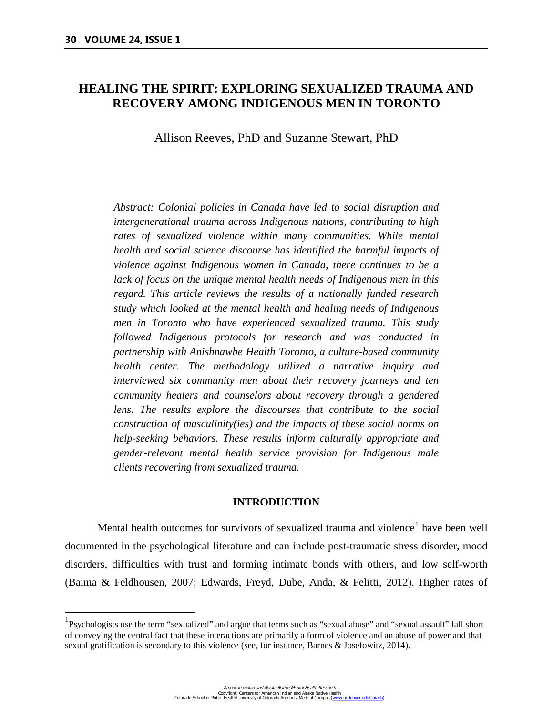$\overline{\phantom{a}}$ 

# **HEALING THE SPIRIT: EXPLORING SEXUALIZED TRAUMA AND RECOVERY AMONG INDIGENOUS MEN IN TORONTO**

Allison Reeves, PhD and Suzanne Stewart, PhD

*Abstract: Colonial policies in Canada have led to social disruption and intergenerational trauma across Indigenous nations, contributing to high*  rates of sexualized violence within many communities. While mental *health and social science discourse has identified the harmful impacts of violence against Indigenous women in Canada, there continues to be a lack of focus on the unique mental health needs of Indigenous men in this regard. This article reviews the results of a nationally funded research study which looked at the mental health and healing needs of Indigenous men in Toronto who have experienced sexualized trauma. This study followed Indigenous protocols for research and was conducted in partnership with Anishnawbe Health Toronto, a culture-based community health center. The methodology utilized a narrative inquiry and interviewed six community men about their recovery journeys and ten community healers and counselors about recovery through a gendered lens. The results explore the discourses that contribute to the social construction of masculinity(ies) and the impacts of these social norms on help-seeking behaviors. These results inform culturally appropriate and gender-relevant mental health service provision for Indigenous male clients recovering from sexualized trauma.* 

## **INTRODUCTION**

Mental health outcomes for survivors of sexualized trauma and violence<sup>[1](#page-0-0)</sup> have been well documented in the psychological literature and can include post-traumatic stress disorder, mood disorders, difficulties with trust and forming intimate bonds with others, and low self-worth (Baima & Feldhousen, 2007; Edwards, Freyd, Dube, Anda, & Felitti, 2012). Higher rates of

<span id="page-0-0"></span><sup>&</sup>lt;sup>1</sup>Psychologists use the term "sexualized" and argue that terms such as "sexual abuse" and "sexual assault" fall short of conveying the central fact that these interactions are primarily a form of violence and an abuse of power and that sexual gratification is secondary to this violence (see, for instance, Barnes & Josefowitz, 2014).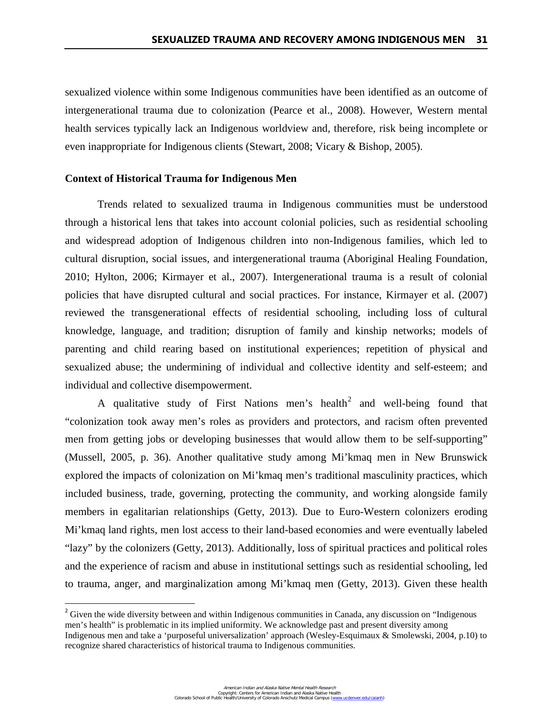sexualized violence within some Indigenous communities have been identified as an outcome of intergenerational trauma due to colonization (Pearce et al., 2008). However, Western mental health services typically lack an Indigenous worldview and, therefore, risk being incomplete or even inappropriate for Indigenous clients (Stewart, 2008; Vicary & Bishop, 2005).

## **Context of Historical Trauma for Indigenous Men**

l

Trends related to sexualized trauma in Indigenous communities must be understood through a historical lens that takes into account colonial policies, such as residential schooling and widespread adoption of Indigenous children into non-Indigenous families, which led to cultural disruption, social issues, and intergenerational trauma (Aboriginal Healing Foundation, 2010; Hylton, 2006; Kirmayer et al., 2007). Intergenerational trauma is a result of colonial policies that have disrupted cultural and social practices. For instance, Kirmayer et al. (2007) reviewed the transgenerational effects of residential schooling, including loss of cultural knowledge, language, and tradition; disruption of family and kinship networks; models of parenting and child rearing based on institutional experiences; repetition of physical and sexualized abuse; the undermining of individual and collective identity and self-esteem; and individual and collective disempowerment.

A qualitative study of First Nations men's health<sup>[2](#page-1-0)</sup> and well-being found that "colonization took away men's roles as providers and protectors, and racism often prevented men from getting jobs or developing businesses that would allow them to be self-supporting" (Mussell, 2005, p. 36). Another qualitative study among Mi'kmaq men in New Brunswick explored the impacts of colonization on Mi'kmaq men's traditional masculinity practices, which included business, trade, governing, protecting the community, and working alongside family members in egalitarian relationships (Getty, 2013). Due to Euro-Western colonizers eroding Mi'kmaq land rights, men lost access to their land-based economies and were eventually labeled "lazy" by the colonizers (Getty, 2013). Additionally, loss of spiritual practices and political roles and the experience of racism and abuse in institutional settings such as residential schooling, led to trauma, anger, and marginalization among Mi'kmaq men (Getty, 2013). Given these health

<span id="page-1-0"></span><sup>&</sup>lt;sup>2</sup> Given the wide diversity between and within Indigenous communities in Canada, any discussion on "Indigenous" men's health" is problematic in its implied uniformity. We acknowledge past and present diversity among Indigenous men and take a 'purposeful universalization' approach (Wesley-Esquimaux & Smolewski, 2004, p.10) to recognize shared characteristics of historical trauma to Indigenous communities.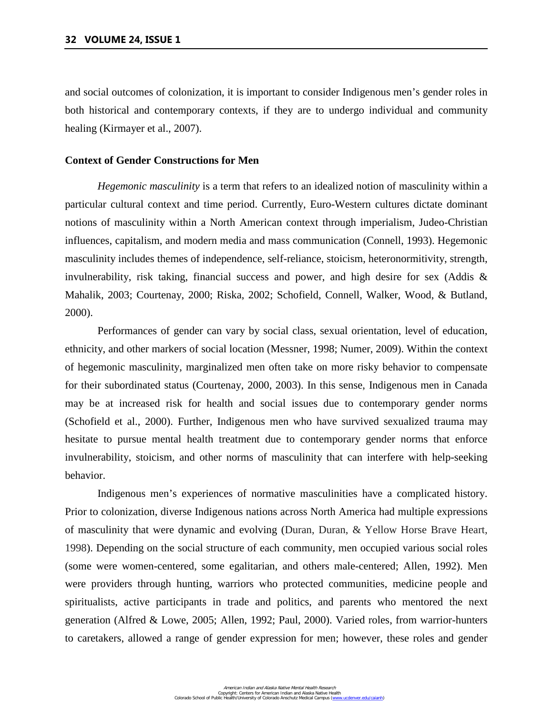and social outcomes of colonization, it is important to consider Indigenous men's gender roles in both historical and contemporary contexts, if they are to undergo individual and community healing (Kirmayer et al., 2007).

## **Context of Gender Constructions for Men**

*Hegemonic masculinity* is a term that refers to an idealized notion of masculinity within a particular cultural context and time period. Currently, Euro-Western cultures dictate dominant notions of masculinity within a North American context through imperialism, Judeo-Christian influences, capitalism, and modern media and mass communication (Connell, 1993). Hegemonic masculinity includes themes of independence, self-reliance, stoicism, heteronormitivity, strength, invulnerability, risk taking, financial success and power, and high desire for sex (Addis & Mahalik, 2003; Courtenay, 2000; Riska, 2002; Schofield, Connell, Walker, Wood, & Butland, 2000).

Performances of gender can vary by social class, sexual orientation, level of education, ethnicity, and other markers of social location (Messner, 1998; Numer, 2009). Within the context of hegemonic masculinity, marginalized men often take on more risky behavior to compensate for their subordinated status (Courtenay, 2000, 2003). In this sense, Indigenous men in Canada may be at increased risk for health and social issues due to contemporary gender norms (Schofield et al., 2000). Further, Indigenous men who have survived sexualized trauma may hesitate to pursue mental health treatment due to contemporary gender norms that enforce invulnerability, stoicism, and other norms of masculinity that can interfere with help-seeking behavior.

Indigenous men's experiences of normative masculinities have a complicated history. Prior to colonization, diverse Indigenous nations across North America had multiple expressions of masculinity that were dynamic and evolving (Duran, Duran, & Yellow Horse Brave Heart, 1998). Depending on the social structure of each community, men occupied various social roles (some were women-centered, some egalitarian, and others male-centered; Allen, 1992). Men were providers through hunting, warriors who protected communities, medicine people and spiritualists, active participants in trade and politics, and parents who mentored the next generation (Alfred & Lowe, 2005; Allen, 1992; Paul, 2000). Varied roles, from warrior-hunters to caretakers, allowed a range of gender expression for men; however, these roles and gender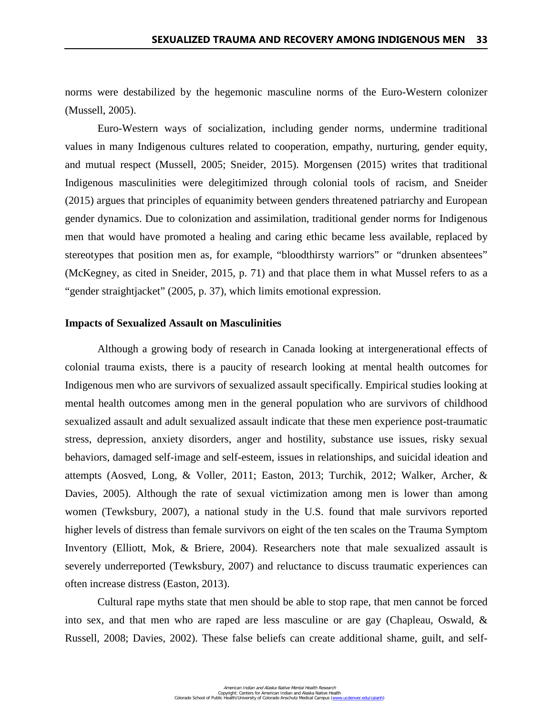norms were destabilized by the hegemonic masculine norms of the Euro-Western colonizer (Mussell, 2005).

Euro-Western ways of socialization, including gender norms, undermine traditional values in many Indigenous cultures related to cooperation, empathy, nurturing, gender equity, and mutual respect (Mussell, 2005; Sneider, 2015). Morgensen (2015) writes that traditional Indigenous masculinities were delegitimized through colonial tools of racism, and Sneider (2015) argues that principles of equanimity between genders threatened patriarchy and European gender dynamics. Due to colonization and assimilation, traditional gender norms for Indigenous men that would have promoted a healing and caring ethic became less available, replaced by stereotypes that position men as, for example, "bloodthirsty warriors" or "drunken absentees" (McKegney, as cited in Sneider, 2015, p. 71) and that place them in what Mussel refers to as a "gender straightjacket" (2005, p. 37), which limits emotional expression.

## **Impacts of Sexualized Assault on Masculinities**

Although a growing body of research in Canada looking at intergenerational effects of colonial trauma exists, there is a paucity of research looking at mental health outcomes for Indigenous men who are survivors of sexualized assault specifically. Empirical studies looking at mental health outcomes among men in the general population who are survivors of childhood sexualized assault and adult sexualized assault indicate that these men experience post-traumatic stress, depression, anxiety disorders, anger and hostility, substance use issues, risky sexual behaviors, damaged self-image and self-esteem, issues in relationships, and suicidal ideation and attempts (Aosved, Long, & Voller, 2011; Easton, 2013; Turchik, 2012; Walker, Archer, & Davies, 2005). Although the rate of sexual victimization among men is lower than among women (Tewksbury, 2007), a national study in the U.S. found that male survivors reported higher levels of distress than female survivors on eight of the ten scales on the Trauma Symptom Inventory (Elliott, Mok, & Briere, 2004). Researchers note that male sexualized assault is severely underreported (Tewksbury, 2007) and reluctance to discuss traumatic experiences can often increase distress (Easton, 2013).

Cultural rape myths state that men should be able to stop rape, that men cannot be forced into sex, and that men who are raped are less masculine or are gay (Chapleau, Oswald, & Russell, 2008; Davies, 2002). These false beliefs can create additional shame, guilt, and self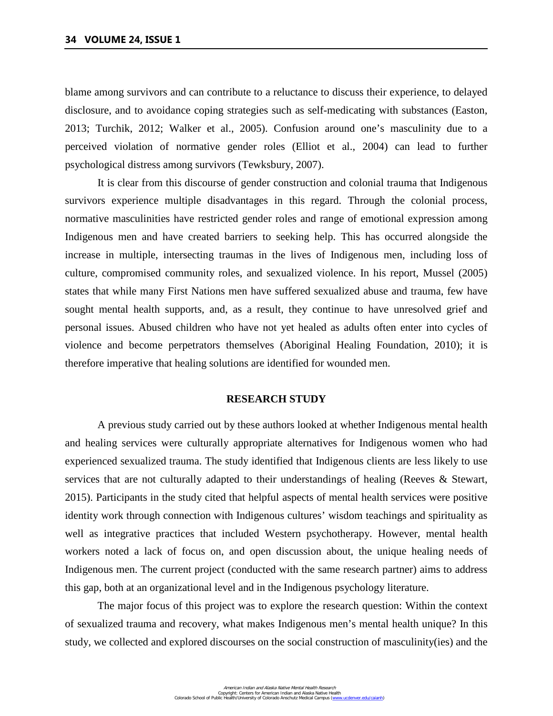blame among survivors and can contribute to a reluctance to discuss their experience, to delayed disclosure, and to avoidance coping strategies such as self-medicating with substances (Easton, 2013; Turchik, 2012; Walker et al., 2005). Confusion around one's masculinity due to a perceived violation of normative gender roles (Elliot et al., 2004) can lead to further psychological distress among survivors (Tewksbury, 2007).

It is clear from this discourse of gender construction and colonial trauma that Indigenous survivors experience multiple disadvantages in this regard. Through the colonial process, normative masculinities have restricted gender roles and range of emotional expression among Indigenous men and have created barriers to seeking help. This has occurred alongside the increase in multiple, intersecting traumas in the lives of Indigenous men, including loss of culture, compromised community roles, and sexualized violence. In his report, Mussel (2005) states that while many First Nations men have suffered sexualized abuse and trauma, few have sought mental health supports, and, as a result, they continue to have unresolved grief and personal issues. Abused children who have not yet healed as adults often enter into cycles of violence and become perpetrators themselves (Aboriginal Healing Foundation, 2010); it is therefore imperative that healing solutions are identified for wounded men.

#### **RESEARCH STUDY**

A previous study carried out by these authors looked at whether Indigenous mental health and healing services were culturally appropriate alternatives for Indigenous women who had experienced sexualized trauma. The study identified that Indigenous clients are less likely to use services that are not culturally adapted to their understandings of healing (Reeves & Stewart, 2015). Participants in the study cited that helpful aspects of mental health services were positive identity work through connection with Indigenous cultures' wisdom teachings and spirituality as well as integrative practices that included Western psychotherapy. However, mental health workers noted a lack of focus on, and open discussion about, the unique healing needs of Indigenous men. The current project (conducted with the same research partner) aims to address this gap, both at an organizational level and in the Indigenous psychology literature.

The major focus of this project was to explore the research question: Within the context of sexualized trauma and recovery, what makes Indigenous men's mental health unique? In this study, we collected and explored discourses on the social construction of masculinity(ies) and the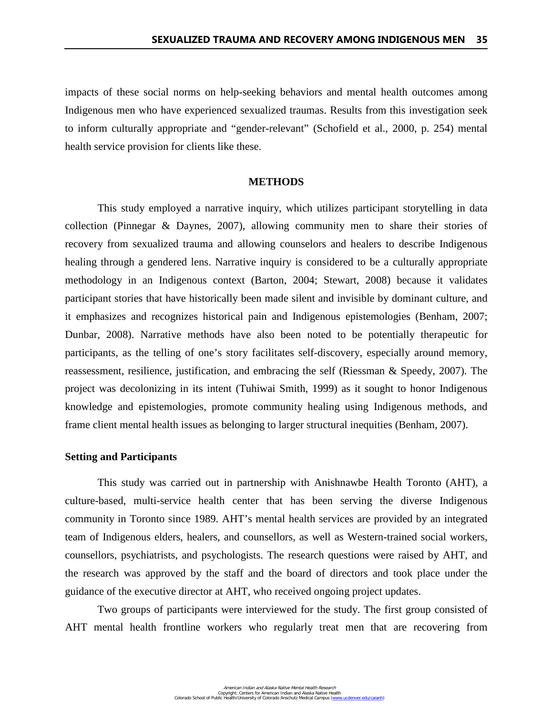impacts of these social norms on help-seeking behaviors and mental health outcomes among Indigenous men who have experienced sexualized traumas. Results from this investigation seek to inform culturally appropriate and "gender-relevant" (Schofield et al., 2000, p. 254) mental health service provision for clients like these.

#### **METHODS**

This study employed a narrative inquiry, which utilizes participant storytelling in data collection (Pinnegar & Daynes, 2007), allowing community men to share their stories of recovery from sexualized trauma and allowing counselors and healers to describe Indigenous healing through a gendered lens. Narrative inquiry is considered to be a culturally appropriate methodology in an Indigenous context (Barton, 2004; Stewart, 2008) because it validates participant stories that have historically been made silent and invisible by dominant culture, and it emphasizes and recognizes historical pain and Indigenous epistemologies (Benham, 2007; Dunbar, 2008). Narrative methods have also been noted to be potentially therapeutic for participants, as the telling of one's story facilitates self-discovery, especially around memory, reassessment, resilience, justification, and embracing the self (Riessman & Speedy, 2007). The project was decolonizing in its intent (Tuhiwai Smith, 1999) as it sought to honor Indigenous knowledge and epistemologies, promote community healing using Indigenous methods, and frame client mental health issues as belonging to larger structural inequities (Benham, 2007).

## **Setting and Participants**

This study was carried out in partnership with Anishnawbe Health Toronto (AHT), a culture-based, multi-service health center that has been serving the diverse Indigenous community in Toronto since 1989. AHT's mental health services are provided by an integrated team of Indigenous elders, healers, and counsellors, as well as Western-trained social workers, counsellors, psychiatrists, and psychologists. The research questions were raised by AHT, and the research was approved by the staff and the board of directors and took place under the guidance of the executive director at AHT, who received ongoing project updates.

Two groups of participants were interviewed for the study. The first group consisted of AHT mental health frontline workers who regularly treat men that are recovering from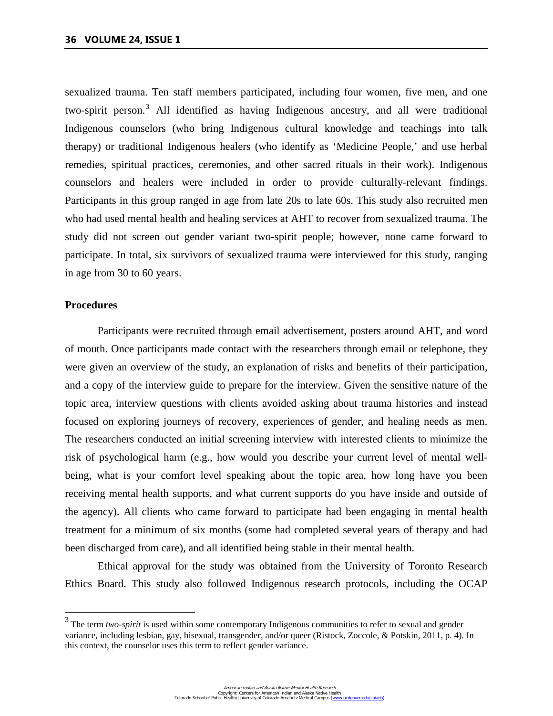sexualized trauma. Ten staff members participated, including four women, five men, and one two-spirit person.[3](#page-6-0) All identified as having Indigenous ancestry, and all were traditional Indigenous counselors (who bring Indigenous cultural knowledge and teachings into talk therapy) or traditional Indigenous healers (who identify as 'Medicine People,' and use herbal remedies, spiritual practices, ceremonies, and other sacred rituals in their work). Indigenous counselors and healers were included in order to provide culturally-relevant findings. Participants in this group ranged in age from late 20s to late 60s. This study also recruited men who had used mental health and healing services at AHT to recover from sexualized trauma. The study did not screen out gender variant two-spirit people; however, none came forward to participate. In total, six survivors of sexualized trauma were interviewed for this study, ranging in age from 30 to 60 years.

## **Procedures**

 $\overline{\phantom{a}}$ 

Participants were recruited through email advertisement, posters around AHT, and word of mouth. Once participants made contact with the researchers through email or telephone, they were given an overview of the study, an explanation of risks and benefits of their participation, and a copy of the interview guide to prepare for the interview. Given the sensitive nature of the topic area, interview questions with clients avoided asking about trauma histories and instead focused on exploring journeys of recovery, experiences of gender, and healing needs as men. The researchers conducted an initial screening interview with interested clients to minimize the risk of psychological harm (e.g., how would you describe your current level of mental wellbeing, what is your comfort level speaking about the topic area, how long have you been receiving mental health supports, and what current supports do you have inside and outside of the agency). All clients who came forward to participate had been engaging in mental health treatment for a minimum of six months (some had completed several years of therapy and had been discharged from care), and all identified being stable in their mental health.

Ethical approval for the study was obtained from the University of Toronto Research Ethics Board. This study also followed Indigenous research protocols, including the OCAP

<span id="page-6-0"></span><sup>&</sup>lt;sup>3</sup> The term *two-spirit* is used within some contemporary Indigenous communities to refer to sexual and gender variance, including lesbian, gay, bisexual, transgender, and/or queer (Ristock, Zoccole, & Potskin, 2011, p. 4). In this context, the counselor uses this term to reflect gender variance.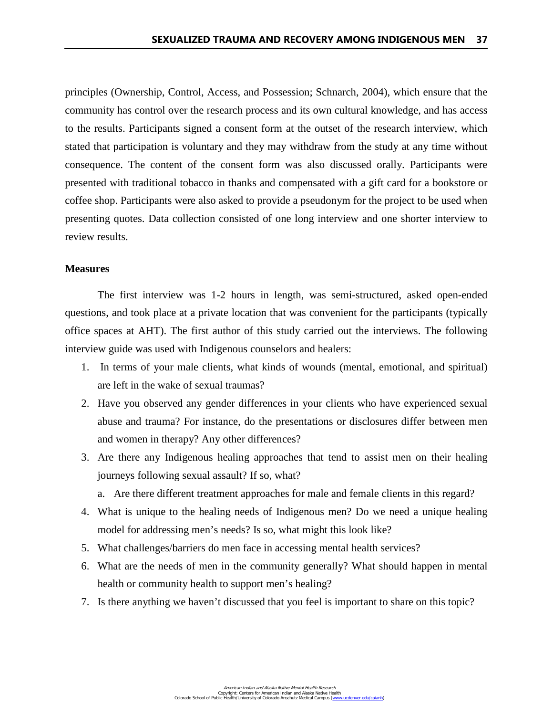principles (Ownership, Control, Access, and Possession; Schnarch, 2004), which ensure that the community has control over the research process and its own cultural knowledge, and has access to the results. Participants signed a consent form at the outset of the research interview, which stated that participation is voluntary and they may withdraw from the study at any time without consequence. The content of the consent form was also discussed orally. Participants were presented with traditional tobacco in thanks and compensated with a gift card for a bookstore or coffee shop. Participants were also asked to provide a pseudonym for the project to be used when presenting quotes. Data collection consisted of one long interview and one shorter interview to review results.

## **Measures**

The first interview was 1-2 hours in length, was semi-structured, asked open-ended questions, and took place at a private location that was convenient for the participants (typically office spaces at AHT). The first author of this study carried out the interviews. The following interview guide was used with Indigenous counselors and healers:

- 1. In terms of your male clients, what kinds of wounds (mental, emotional, and spiritual) are left in the wake of sexual traumas?
- 2. Have you observed any gender differences in your clients who have experienced sexual abuse and trauma? For instance, do the presentations or disclosures differ between men and women in therapy? Any other differences?
- 3. Are there any Indigenous healing approaches that tend to assist men on their healing journeys following sexual assault? If so, what?
	- a. Are there different treatment approaches for male and female clients in this regard?
- 4. What is unique to the healing needs of Indigenous men? Do we need a unique healing model for addressing men's needs? Is so, what might this look like?
- 5. What challenges/barriers do men face in accessing mental health services?
- 6. What are the needs of men in the community generally? What should happen in mental health or community health to support men's healing?
- 7. Is there anything we haven't discussed that you feel is important to share on this topic?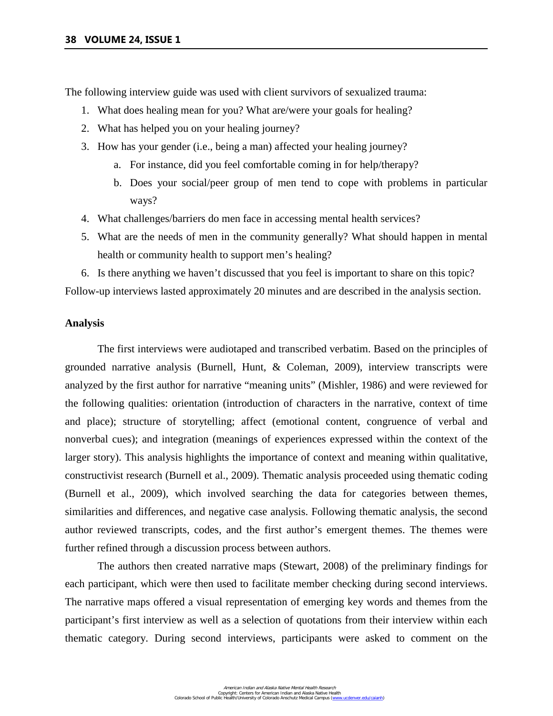The following interview guide was used with client survivors of sexualized trauma:

- 1. What does healing mean for you? What are/were your goals for healing?
- 2. What has helped you on your healing journey?
- 3. How has your gender (i.e., being a man) affected your healing journey?
	- a. For instance, did you feel comfortable coming in for help/therapy?
	- b. Does your social/peer group of men tend to cope with problems in particular ways?
- 4. What challenges/barriers do men face in accessing mental health services?
- 5. What are the needs of men in the community generally? What should happen in mental health or community health to support men's healing?
- 6. Is there anything we haven't discussed that you feel is important to share on this topic?

Follow-up interviews lasted approximately 20 minutes and are described in the analysis section.

## **Analysis**

The first interviews were audiotaped and transcribed verbatim. Based on the principles of grounded narrative analysis (Burnell, Hunt, & Coleman, 2009), interview transcripts were analyzed by the first author for narrative "meaning units" (Mishler, 1986) and were reviewed for the following qualities: orientation (introduction of characters in the narrative, context of time and place); structure of storytelling; affect (emotional content, congruence of verbal and nonverbal cues); and integration (meanings of experiences expressed within the context of the larger story). This analysis highlights the importance of context and meaning within qualitative, constructivist research (Burnell et al., 2009). Thematic analysis proceeded using thematic coding (Burnell et al., 2009), which involved searching the data for categories between themes, similarities and differences, and negative case analysis. Following thematic analysis, the second author reviewed transcripts, codes, and the first author's emergent themes. The themes were further refined through a discussion process between authors.

The authors then created narrative maps (Stewart, 2008) of the preliminary findings for each participant, which were then used to facilitate member checking during second interviews. The narrative maps offered a visual representation of emerging key words and themes from the participant's first interview as well as a selection of quotations from their interview within each thematic category. During second interviews, participants were asked to comment on the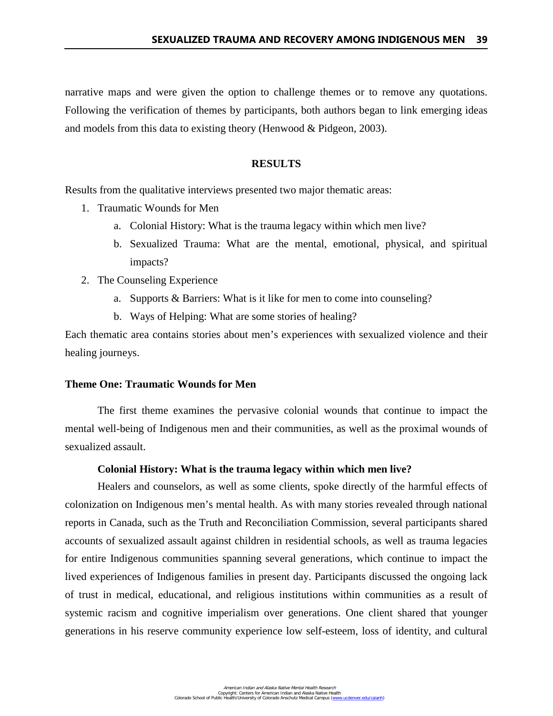narrative maps and were given the option to challenge themes or to remove any quotations. Following the verification of themes by participants, both authors began to link emerging ideas and models from this data to existing theory (Henwood & Pidgeon, 2003).

## **RESULTS**

Results from the qualitative interviews presented two major thematic areas:

- 1. Traumatic Wounds for Men
	- a. Colonial History: What is the trauma legacy within which men live?
	- b. Sexualized Trauma: What are the mental, emotional, physical, and spiritual impacts?
- 2. The Counseling Experience
	- a. Supports & Barriers: What is it like for men to come into counseling?
	- b. Ways of Helping: What are some stories of healing?

Each thematic area contains stories about men's experiences with sexualized violence and their healing journeys.

### **Theme One: Traumatic Wounds for Men**

The first theme examines the pervasive colonial wounds that continue to impact the mental well-being of Indigenous men and their communities, as well as the proximal wounds of sexualized assault.

## **Colonial History: What is the trauma legacy within which men live?**

Healers and counselors, as well as some clients, spoke directly of the harmful effects of colonization on Indigenous men's mental health. As with many stories revealed through national reports in Canada, such as the Truth and Reconciliation Commission, several participants shared accounts of sexualized assault against children in residential schools, as well as trauma legacies for entire Indigenous communities spanning several generations, which continue to impact the lived experiences of Indigenous families in present day. Participants discussed the ongoing lack of trust in medical, educational, and religious institutions within communities as a result of systemic racism and cognitive imperialism over generations. One client shared that younger generations in his reserve community experience low self-esteem, loss of identity, and cultural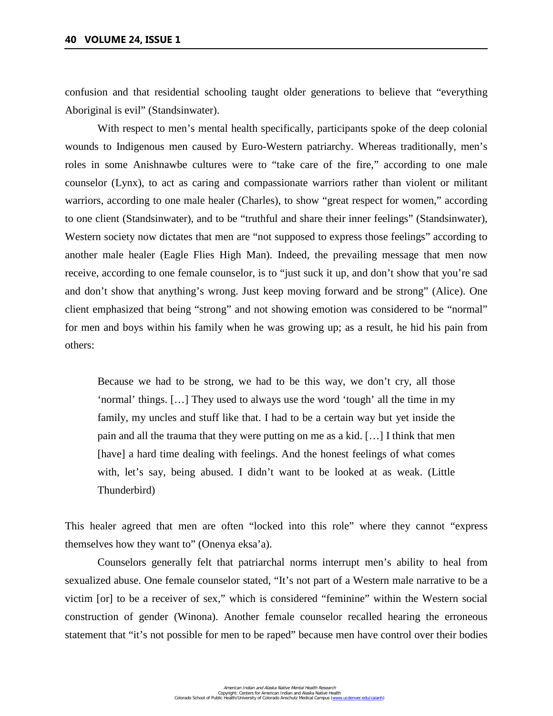confusion and that residential schooling taught older generations to believe that "everything Aboriginal is evil" (Standsinwater).

With respect to men's mental health specifically, participants spoke of the deep colonial wounds to Indigenous men caused by Euro-Western patriarchy. Whereas traditionally, men's roles in some Anishnawbe cultures were to "take care of the fire," according to one male counselor (Lynx), to act as caring and compassionate warriors rather than violent or militant warriors, according to one male healer (Charles), to show "great respect for women," according to one client (Standsinwater), and to be "truthful and share their inner feelings" (Standsinwater), Western society now dictates that men are "not supposed to express those feelings" according to another male healer (Eagle Flies High Man). Indeed, the prevailing message that men now receive, according to one female counselor, is to "just suck it up, and don't show that you're sad and don't show that anything's wrong. Just keep moving forward and be strong" (Alice). One client emphasized that being "strong" and not showing emotion was considered to be "normal" for men and boys within his family when he was growing up; as a result, he hid his pain from others:

Because we had to be strong, we had to be this way, we don't cry, all those 'normal' things. […] They used to always use the word 'tough' all the time in my family, my uncles and stuff like that. I had to be a certain way but yet inside the pain and all the trauma that they were putting on me as a kid. […] I think that men [have] a hard time dealing with feelings. And the honest feelings of what comes with, let's say, being abused. I didn't want to be looked at as weak. (Little Thunderbird)

This healer agreed that men are often "locked into this role" where they cannot "express themselves how they want to" (Onenya eksa'a).

Counselors generally felt that patriarchal norms interrupt men's ability to heal from sexualized abuse. One female counselor stated, "It's not part of a Western male narrative to be a victim [or] to be a receiver of sex," which is considered "feminine" within the Western social construction of gender (Winona). Another female counselor recalled hearing the erroneous statement that "it's not possible for men to be raped" because men have control over their bodies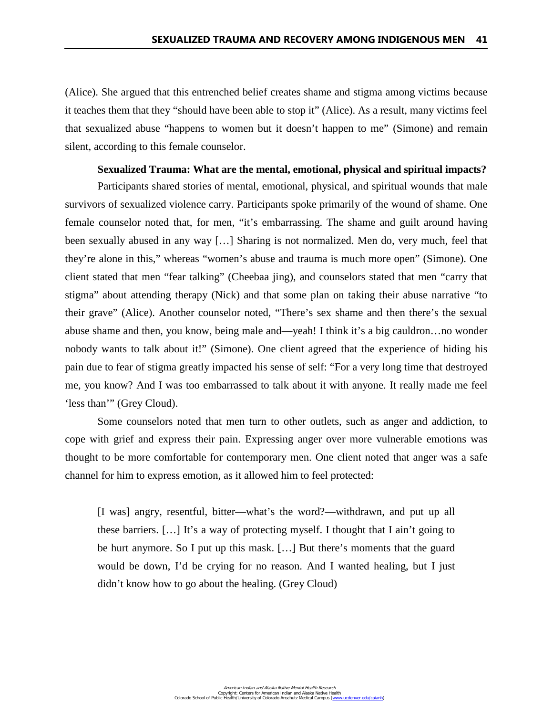(Alice). She argued that this entrenched belief creates shame and stigma among victims because it teaches them that they "should have been able to stop it" (Alice). As a result, many victims feel that sexualized abuse "happens to women but it doesn't happen to me" (Simone) and remain silent, according to this female counselor.

## **Sexualized Trauma: What are the mental, emotional, physical and spiritual impacts?**

Participants shared stories of mental, emotional, physical, and spiritual wounds that male survivors of sexualized violence carry. Participants spoke primarily of the wound of shame. One female counselor noted that, for men, "it's embarrassing. The shame and guilt around having been sexually abused in any way […] Sharing is not normalized. Men do, very much, feel that they're alone in this," whereas "women's abuse and trauma is much more open" (Simone). One client stated that men "fear talking" (Cheebaa jing), and counselors stated that men "carry that stigma" about attending therapy (Nick) and that some plan on taking their abuse narrative "to their grave" (Alice). Another counselor noted, "There's sex shame and then there's the sexual abuse shame and then, you know, being male and—yeah! I think it's a big cauldron…no wonder nobody wants to talk about it!" (Simone). One client agreed that the experience of hiding his pain due to fear of stigma greatly impacted his sense of self: "For a very long time that destroyed me, you know? And I was too embarrassed to talk about it with anyone. It really made me feel 'less than'" (Grey Cloud).

Some counselors noted that men turn to other outlets, such as anger and addiction, to cope with grief and express their pain. Expressing anger over more vulnerable emotions was thought to be more comfortable for contemporary men. One client noted that anger was a safe channel for him to express emotion, as it allowed him to feel protected:

[I was] angry, resentful, bitter—what's the word?—withdrawn, and put up all these barriers. […] It's a way of protecting myself. I thought that I ain't going to be hurt anymore. So I put up this mask. […] But there's moments that the guard would be down, I'd be crying for no reason. And I wanted healing, but I just didn't know how to go about the healing. (Grey Cloud)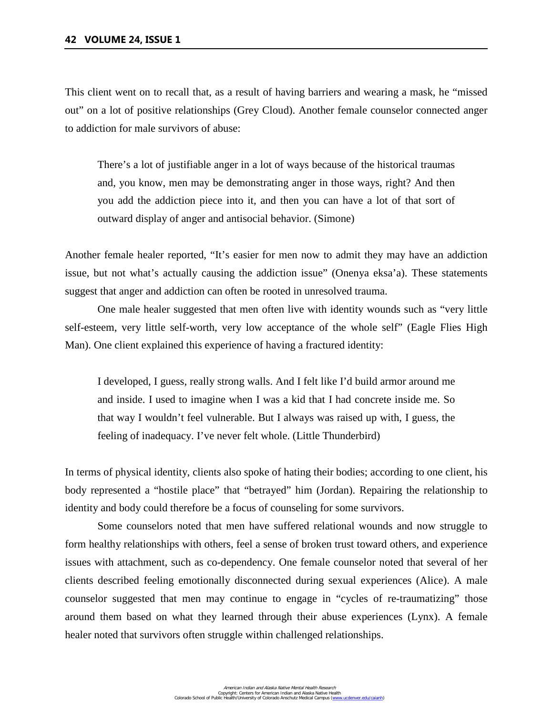This client went on to recall that, as a result of having barriers and wearing a mask, he "missed out" on a lot of positive relationships (Grey Cloud). Another female counselor connected anger to addiction for male survivors of abuse:

There's a lot of justifiable anger in a lot of ways because of the historical traumas and, you know, men may be demonstrating anger in those ways, right? And then you add the addiction piece into it, and then you can have a lot of that sort of outward display of anger and antisocial behavior. (Simone)

Another female healer reported, "It's easier for men now to admit they may have an addiction issue, but not what's actually causing the addiction issue" (Onenya eksa'a). These statements suggest that anger and addiction can often be rooted in unresolved trauma.

One male healer suggested that men often live with identity wounds such as "very little self-esteem, very little self-worth, very low acceptance of the whole self" (Eagle Flies High Man). One client explained this experience of having a fractured identity:

I developed, I guess, really strong walls. And I felt like I'd build armor around me and inside. I used to imagine when I was a kid that I had concrete inside me. So that way I wouldn't feel vulnerable. But I always was raised up with, I guess, the feeling of inadequacy. I've never felt whole. (Little Thunderbird)

In terms of physical identity, clients also spoke of hating their bodies; according to one client, his body represented a "hostile place" that "betrayed" him (Jordan). Repairing the relationship to identity and body could therefore be a focus of counseling for some survivors.

Some counselors noted that men have suffered relational wounds and now struggle to form healthy relationships with others, feel a sense of broken trust toward others, and experience issues with attachment, such as co-dependency. One female counselor noted that several of her clients described feeling emotionally disconnected during sexual experiences (Alice). A male counselor suggested that men may continue to engage in "cycles of re-traumatizing" those around them based on what they learned through their abuse experiences (Lynx). A female healer noted that survivors often struggle within challenged relationships.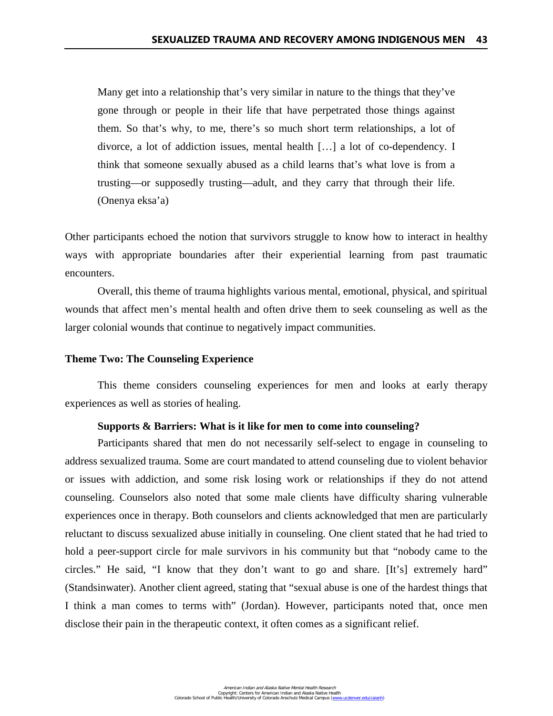Many get into a relationship that's very similar in nature to the things that they've gone through or people in their life that have perpetrated those things against them. So that's why, to me, there's so much short term relationships, a lot of divorce, a lot of addiction issues, mental health […] a lot of co-dependency. I think that someone sexually abused as a child learns that's what love is from a trusting—or supposedly trusting—adult, and they carry that through their life. (Onenya eksa'a)

Other participants echoed the notion that survivors struggle to know how to interact in healthy ways with appropriate boundaries after their experiential learning from past traumatic encounters.

Overall, this theme of trauma highlights various mental, emotional, physical, and spiritual wounds that affect men's mental health and often drive them to seek counseling as well as the larger colonial wounds that continue to negatively impact communities.

### **Theme Two: The Counseling Experience**

This theme considers counseling experiences for men and looks at early therapy experiences as well as stories of healing.

### **Supports & Barriers: What is it like for men to come into counseling?**

Participants shared that men do not necessarily self-select to engage in counseling to address sexualized trauma. Some are court mandated to attend counseling due to violent behavior or issues with addiction, and some risk losing work or relationships if they do not attend counseling. Counselors also noted that some male clients have difficulty sharing vulnerable experiences once in therapy. Both counselors and clients acknowledged that men are particularly reluctant to discuss sexualized abuse initially in counseling. One client stated that he had tried to hold a peer-support circle for male survivors in his community but that "nobody came to the circles." He said, "I know that they don't want to go and share. [It's] extremely hard" (Standsinwater). Another client agreed, stating that "sexual abuse is one of the hardest things that I think a man comes to terms with" (Jordan). However, participants noted that, once men disclose their pain in the therapeutic context, it often comes as a significant relief.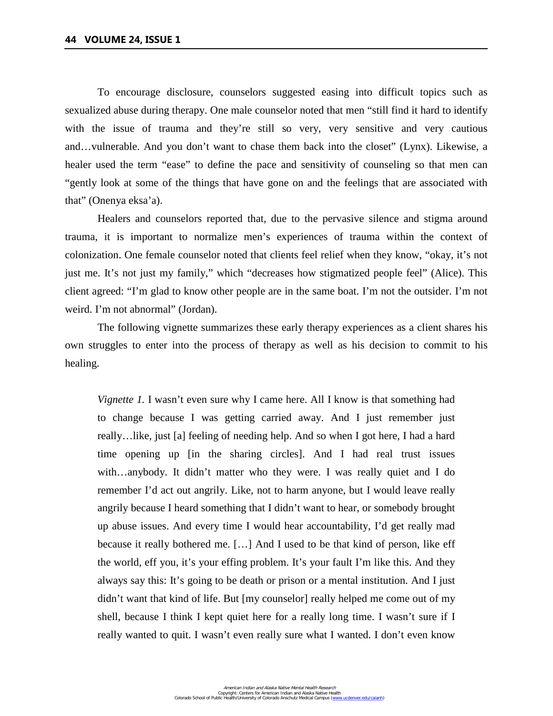To encourage disclosure, counselors suggested easing into difficult topics such as sexualized abuse during therapy. One male counselor noted that men "still find it hard to identify with the issue of trauma and they're still so very, very sensitive and very cautious and…vulnerable. And you don't want to chase them back into the closet" (Lynx). Likewise, a healer used the term "ease" to define the pace and sensitivity of counseling so that men can "gently look at some of the things that have gone on and the feelings that are associated with that" (Onenya eksa'a).

Healers and counselors reported that, due to the pervasive silence and stigma around trauma, it is important to normalize men's experiences of trauma within the context of colonization. One female counselor noted that clients feel relief when they know, "okay, it's not just me. It's not just my family," which "decreases how stigmatized people feel" (Alice). This client agreed: "I'm glad to know other people are in the same boat. I'm not the outsider. I'm not weird. I'm not abnormal" (Jordan).

The following vignette summarizes these early therapy experiences as a client shares his own struggles to enter into the process of therapy as well as his decision to commit to his healing.

*Vignette 1.* I wasn't even sure why I came here. All I know is that something had to change because I was getting carried away. And I just remember just really…like, just [a] feeling of needing help. And so when I got here, I had a hard time opening up [in the sharing circles]. And I had real trust issues with…anybody. It didn't matter who they were. I was really quiet and I do remember I'd act out angrily. Like, not to harm anyone, but I would leave really angrily because I heard something that I didn't want to hear, or somebody brought up abuse issues. And every time I would hear accountability, I'd get really mad because it really bothered me. […] And I used to be that kind of person, like eff the world, eff you, it's your effing problem. It's your fault I'm like this. And they always say this: It's going to be death or prison or a mental institution. And I just didn't want that kind of life. But [my counselor] really helped me come out of my shell, because I think I kept quiet here for a really long time. I wasn't sure if I really wanted to quit. I wasn't even really sure what I wanted. I don't even know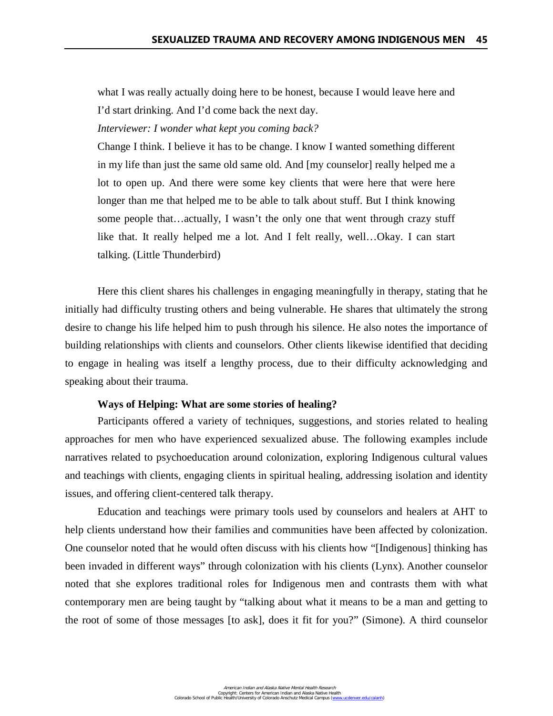what I was really actually doing here to be honest, because I would leave here and I'd start drinking. And I'd come back the next day.

## *Interviewer: I wonder what kept you coming back?*

Change I think. I believe it has to be change. I know I wanted something different in my life than just the same old same old. And [my counselor] really helped me a lot to open up. And there were some key clients that were here that were here longer than me that helped me to be able to talk about stuff. But I think knowing some people that…actually, I wasn't the only one that went through crazy stuff like that. It really helped me a lot. And I felt really, well…Okay. I can start talking. (Little Thunderbird)

Here this client shares his challenges in engaging meaningfully in therapy, stating that he initially had difficulty trusting others and being vulnerable. He shares that ultimately the strong desire to change his life helped him to push through his silence. He also notes the importance of building relationships with clients and counselors. Other clients likewise identified that deciding to engage in healing was itself a lengthy process, due to their difficulty acknowledging and speaking about their trauma.

## **Ways of Helping: What are some stories of healing?**

Participants offered a variety of techniques, suggestions, and stories related to healing approaches for men who have experienced sexualized abuse. The following examples include narratives related to psychoeducation around colonization, exploring Indigenous cultural values and teachings with clients, engaging clients in spiritual healing, addressing isolation and identity issues, and offering client-centered talk therapy.

 Education and teachings were primary tools used by counselors and healers at AHT to help clients understand how their families and communities have been affected by colonization. One counselor noted that he would often discuss with his clients how "[Indigenous] thinking has been invaded in different ways" through colonization with his clients (Lynx). Another counselor noted that she explores traditional roles for Indigenous men and contrasts them with what contemporary men are being taught by "talking about what it means to be a man and getting to the root of some of those messages [to ask], does it fit for you?" (Simone). A third counselor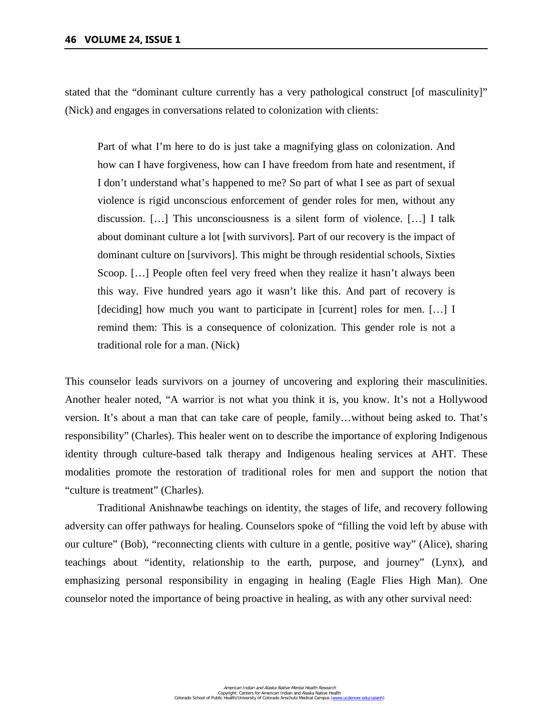stated that the "dominant culture currently has a very pathological construct [of masculinity]" (Nick) and engages in conversations related to colonization with clients:

Part of what I'm here to do is just take a magnifying glass on colonization. And how can I have forgiveness, how can I have freedom from hate and resentment, if I don't understand what's happened to me? So part of what I see as part of sexual violence is rigid unconscious enforcement of gender roles for men, without any discussion. […] This unconsciousness is a silent form of violence. […] I talk about dominant culture a lot [with survivors]. Part of our recovery is the impact of dominant culture on [survivors]. This might be through residential schools, Sixties Scoop. […] People often feel very freed when they realize it hasn't always been this way. Five hundred years ago it wasn't like this. And part of recovery is [deciding] how much you want to participate in [current] roles for men. […] I remind them: This is a consequence of colonization. This gender role is not a traditional role for a man. (Nick)

This counselor leads survivors on a journey of uncovering and exploring their masculinities. Another healer noted, "A warrior is not what you think it is, you know. It's not a Hollywood version. It's about a man that can take care of people, family…without being asked to. That's responsibility" (Charles). This healer went on to describe the importance of exploring Indigenous identity through culture-based talk therapy and Indigenous healing services at AHT. These modalities promote the restoration of traditional roles for men and support the notion that "culture is treatment" (Charles).

Traditional Anishnawbe teachings on identity, the stages of life, and recovery following adversity can offer pathways for healing. Counselors spoke of "filling the void left by abuse with our culture" (Bob), "reconnecting clients with culture in a gentle, positive way" (Alice), sharing teachings about "identity, relationship to the earth, purpose, and journey" (Lynx), and emphasizing personal responsibility in engaging in healing (Eagle Flies High Man). One counselor noted the importance of being proactive in healing, as with any other survival need: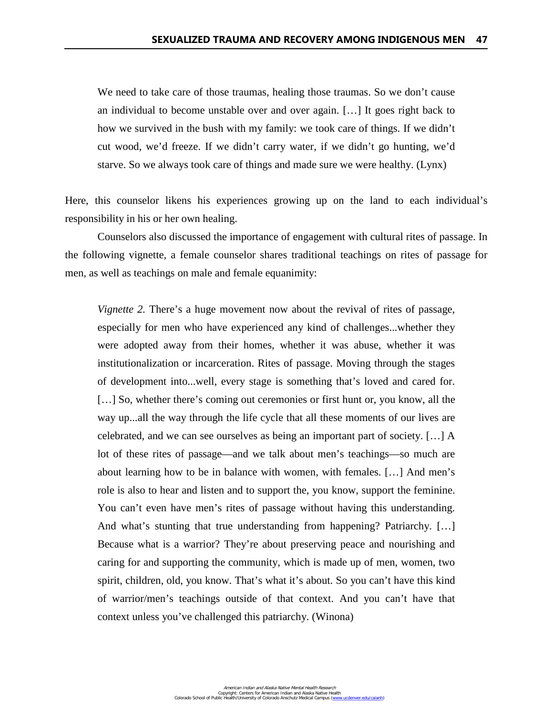We need to take care of those traumas, healing those traumas. So we don't cause an individual to become unstable over and over again. […] It goes right back to how we survived in the bush with my family: we took care of things. If we didn't cut wood, we'd freeze. If we didn't carry water, if we didn't go hunting, we'd starve. So we always took care of things and made sure we were healthy. (Lynx)

Here, this counselor likens his experiences growing up on the land to each individual's responsibility in his or her own healing.

Counselors also discussed the importance of engagement with cultural rites of passage. In the following vignette, a female counselor shares traditional teachings on rites of passage for men, as well as teachings on male and female equanimity:

*Vignette 2.* There's a huge movement now about the revival of rites of passage, especially for men who have experienced any kind of challenges...whether they were adopted away from their homes, whether it was abuse, whether it was institutionalization or incarceration. Rites of passage. Moving through the stages of development into...well, every stage is something that's loved and cared for. [...] So, whether there's coming out ceremonies or first hunt or, you know, all the way up...all the way through the life cycle that all these moments of our lives are celebrated, and we can see ourselves as being an important part of society. […] A lot of these rites of passage—and we talk about men's teachings—so much are about learning how to be in balance with women, with females. […] And men's role is also to hear and listen and to support the, you know, support the feminine. You can't even have men's rites of passage without having this understanding. And what's stunting that true understanding from happening? Patriarchy. [...] Because what is a warrior? They're about preserving peace and nourishing and caring for and supporting the community, which is made up of men, women, two spirit, children, old, you know. That's what it's about. So you can't have this kind of warrior/men's teachings outside of that context. And you can't have that context unless you've challenged this patriarchy. (Winona)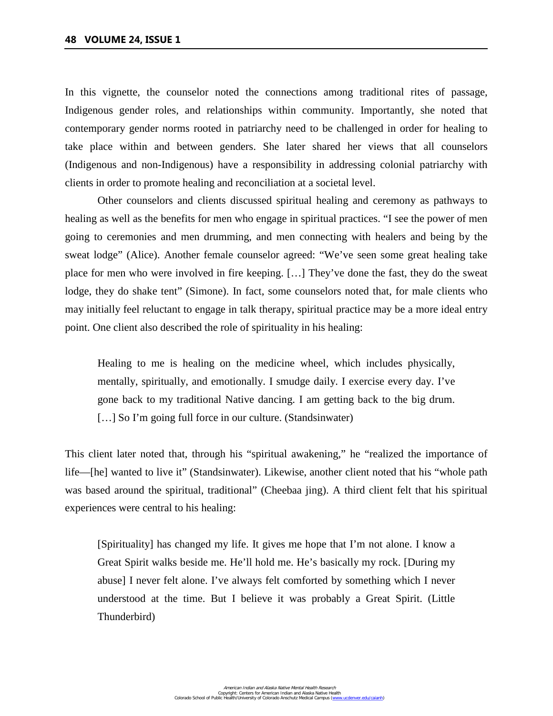In this vignette, the counselor noted the connections among traditional rites of passage, Indigenous gender roles, and relationships within community. Importantly, she noted that contemporary gender norms rooted in patriarchy need to be challenged in order for healing to take place within and between genders. She later shared her views that all counselors (Indigenous and non-Indigenous) have a responsibility in addressing colonial patriarchy with clients in order to promote healing and reconciliation at a societal level.

Other counselors and clients discussed spiritual healing and ceremony as pathways to healing as well as the benefits for men who engage in spiritual practices. "I see the power of men going to ceremonies and men drumming, and men connecting with healers and being by the sweat lodge" (Alice). Another female counselor agreed: "We've seen some great healing take place for men who were involved in fire keeping. […] They've done the fast, they do the sweat lodge, they do shake tent" (Simone). In fact, some counselors noted that, for male clients who may initially feel reluctant to engage in talk therapy, spiritual practice may be a more ideal entry point. One client also described the role of spirituality in his healing:

Healing to me is healing on the medicine wheel, which includes physically, mentally, spiritually, and emotionally. I smudge daily. I exercise every day. I've gone back to my traditional Native dancing. I am getting back to the big drum. [...] So I'm going full force in our culture. (Standsinwater)

This client later noted that, through his "spiritual awakening," he "realized the importance of life—[he] wanted to live it" (Standsinwater). Likewise, another client noted that his "whole path was based around the spiritual, traditional" (Cheebaa jing). A third client felt that his spiritual experiences were central to his healing:

[Spirituality] has changed my life. It gives me hope that I'm not alone. I know a Great Spirit walks beside me. He'll hold me. He's basically my rock. [During my abuse] I never felt alone. I've always felt comforted by something which I never understood at the time. But I believe it was probably a Great Spirit. (Little Thunderbird)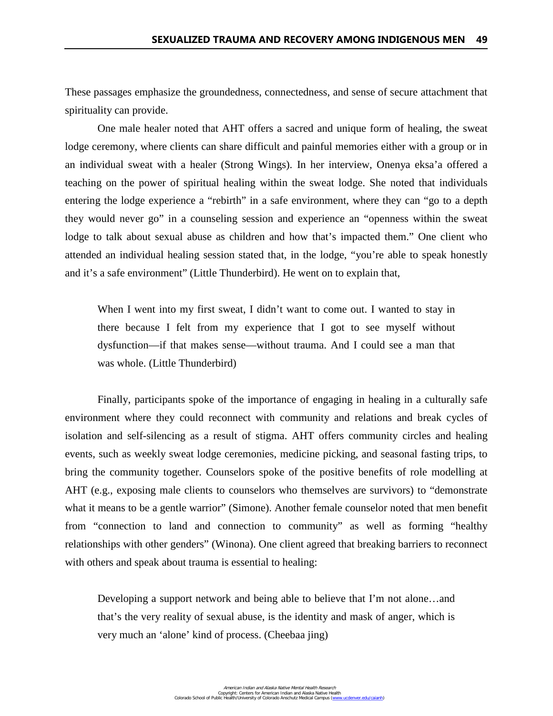These passages emphasize the groundedness, connectedness, and sense of secure attachment that spirituality can provide.

One male healer noted that AHT offers a sacred and unique form of healing, the sweat lodge ceremony, where clients can share difficult and painful memories either with a group or in an individual sweat with a healer (Strong Wings). In her interview, Onenya eksa'a offered a teaching on the power of spiritual healing within the sweat lodge. She noted that individuals entering the lodge experience a "rebirth" in a safe environment, where they can "go to a depth they would never go" in a counseling session and experience an "openness within the sweat lodge to talk about sexual abuse as children and how that's impacted them." One client who attended an individual healing session stated that, in the lodge, "you're able to speak honestly and it's a safe environment" (Little Thunderbird). He went on to explain that,

When I went into my first sweat, I didn't want to come out. I wanted to stay in there because I felt from my experience that I got to see myself without dysfunction—if that makes sense—without trauma. And I could see a man that was whole. (Little Thunderbird)

Finally, participants spoke of the importance of engaging in healing in a culturally safe environment where they could reconnect with community and relations and break cycles of isolation and self-silencing as a result of stigma. AHT offers community circles and healing events, such as weekly sweat lodge ceremonies, medicine picking, and seasonal fasting trips, to bring the community together. Counselors spoke of the positive benefits of role modelling at AHT (e.g., exposing male clients to counselors who themselves are survivors) to "demonstrate what it means to be a gentle warrior" (Simone). Another female counselor noted that men benefit from "connection to land and connection to community" as well as forming "healthy relationships with other genders" (Winona). One client agreed that breaking barriers to reconnect with others and speak about trauma is essential to healing:

Developing a support network and being able to believe that I'm not alone…and that's the very reality of sexual abuse, is the identity and mask of anger, which is very much an 'alone' kind of process. (Cheebaa jing)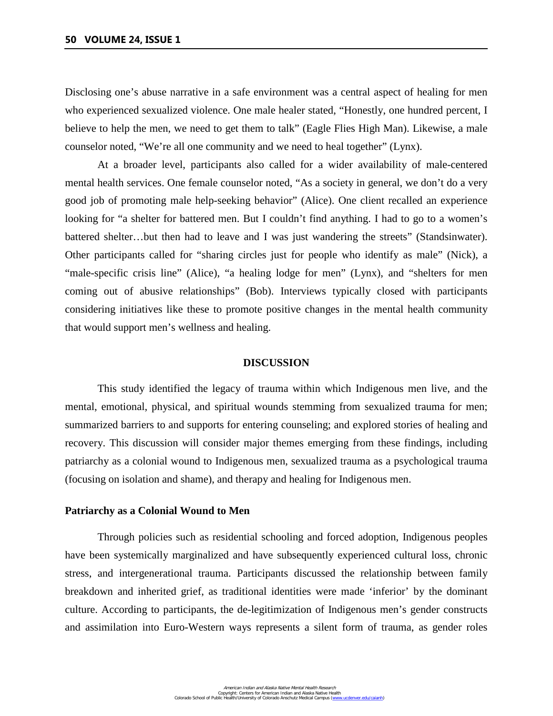Disclosing one's abuse narrative in a safe environment was a central aspect of healing for men who experienced sexualized violence. One male healer stated, "Honestly, one hundred percent, I believe to help the men, we need to get them to talk" (Eagle Flies High Man). Likewise, a male counselor noted, "We're all one community and we need to heal together" (Lynx).

At a broader level, participants also called for a wider availability of male-centered mental health services. One female counselor noted, "As a society in general, we don't do a very good job of promoting male help-seeking behavior" (Alice). One client recalled an experience looking for "a shelter for battered men. But I couldn't find anything. I had to go to a women's battered shelter…but then had to leave and I was just wandering the streets" (Standsinwater). Other participants called for "sharing circles just for people who identify as male" (Nick), a "male-specific crisis line" (Alice), "a healing lodge for men" (Lynx), and "shelters for men coming out of abusive relationships" (Bob). Interviews typically closed with participants considering initiatives like these to promote positive changes in the mental health community that would support men's wellness and healing.

### **DISCUSSION**

This study identified the legacy of trauma within which Indigenous men live, and the mental, emotional, physical, and spiritual wounds stemming from sexualized trauma for men; summarized barriers to and supports for entering counseling; and explored stories of healing and recovery. This discussion will consider major themes emerging from these findings, including patriarchy as a colonial wound to Indigenous men, sexualized trauma as a psychological trauma (focusing on isolation and shame), and therapy and healing for Indigenous men.

#### **Patriarchy as a Colonial Wound to Men**

 Through policies such as residential schooling and forced adoption, Indigenous peoples have been systemically marginalized and have subsequently experienced cultural loss, chronic stress, and intergenerational trauma. Participants discussed the relationship between family breakdown and inherited grief, as traditional identities were made 'inferior' by the dominant culture. According to participants, the de-legitimization of Indigenous men's gender constructs and assimilation into Euro-Western ways represents a silent form of trauma, as gender roles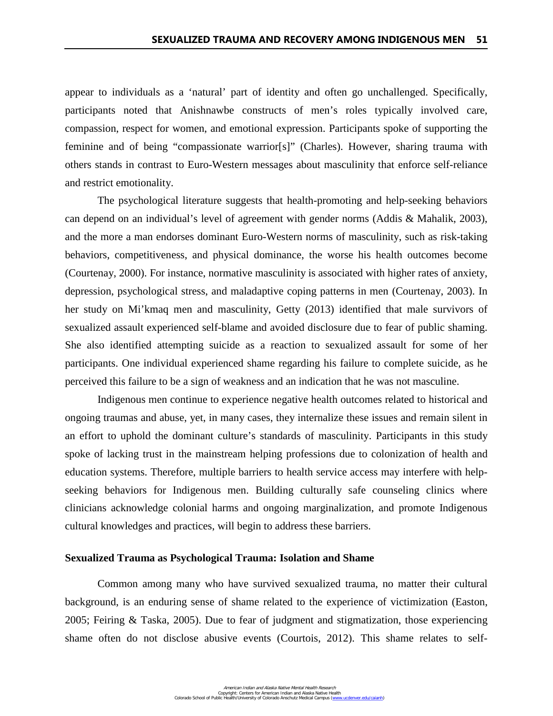appear to individuals as a 'natural' part of identity and often go unchallenged. Specifically, participants noted that Anishnawbe constructs of men's roles typically involved care, compassion, respect for women, and emotional expression. Participants spoke of supporting the feminine and of being "compassionate warrior[s]" (Charles). However, sharing trauma with others stands in contrast to Euro-Western messages about masculinity that enforce self-reliance and restrict emotionality.

The psychological literature suggests that health-promoting and help-seeking behaviors can depend on an individual's level of agreement with gender norms (Addis & Mahalik, 2003), and the more a man endorses dominant Euro-Western norms of masculinity, such as risk-taking behaviors, competitiveness, and physical dominance, the worse his health outcomes become (Courtenay, 2000). For instance, normative masculinity is associated with higher rates of anxiety, depression, psychological stress, and maladaptive coping patterns in men (Courtenay, 2003). In her study on Mi'kmaq men and masculinity, Getty (2013) identified that male survivors of sexualized assault experienced self-blame and avoided disclosure due to fear of public shaming. She also identified attempting suicide as a reaction to sexualized assault for some of her participants. One individual experienced shame regarding his failure to complete suicide, as he perceived this failure to be a sign of weakness and an indication that he was not masculine.

Indigenous men continue to experience negative health outcomes related to historical and ongoing traumas and abuse, yet, in many cases, they internalize these issues and remain silent in an effort to uphold the dominant culture's standards of masculinity. Participants in this study spoke of lacking trust in the mainstream helping professions due to colonization of health and education systems. Therefore, multiple barriers to health service access may interfere with helpseeking behaviors for Indigenous men. Building culturally safe counseling clinics where clinicians acknowledge colonial harms and ongoing marginalization, and promote Indigenous cultural knowledges and practices, will begin to address these barriers.

## **Sexualized Trauma as Psychological Trauma: Isolation and Shame**

Common among many who have survived sexualized trauma, no matter their cultural background, is an enduring sense of shame related to the experience of victimization (Easton, 2005; Feiring & Taska, 2005). Due to fear of judgment and stigmatization, those experiencing shame often do not disclose abusive events (Courtois, 2012). This shame relates to self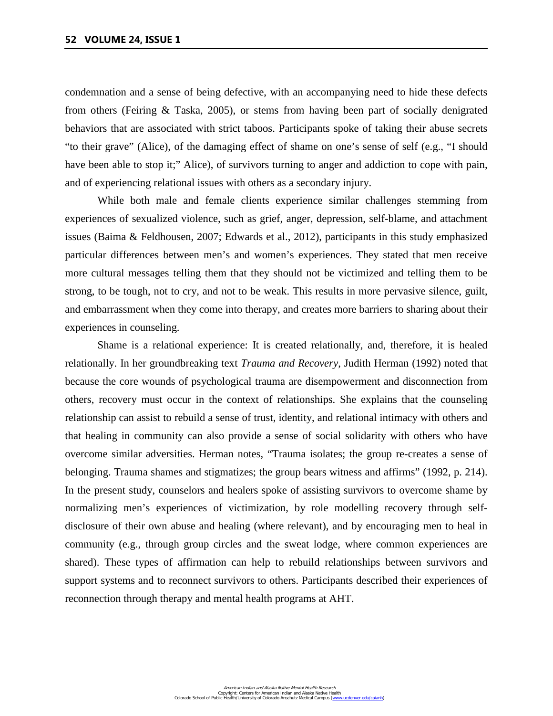condemnation and a sense of being defective, with an accompanying need to hide these defects from others (Feiring & Taska, 2005), or stems from having been part of socially denigrated behaviors that are associated with strict taboos. Participants spoke of taking their abuse secrets "to their grave" (Alice), of the damaging effect of shame on one's sense of self (e.g., "I should have been able to stop it;" Alice), of survivors turning to anger and addiction to cope with pain, and of experiencing relational issues with others as a secondary injury.

While both male and female clients experience similar challenges stemming from experiences of sexualized violence, such as grief, anger, depression, self-blame, and attachment issues (Baima & Feldhousen, 2007; Edwards et al., 2012), participants in this study emphasized particular differences between men's and women's experiences. They stated that men receive more cultural messages telling them that they should not be victimized and telling them to be strong, to be tough, not to cry, and not to be weak. This results in more pervasive silence, guilt, and embarrassment when they come into therapy, and creates more barriers to sharing about their experiences in counseling.

Shame is a relational experience: It is created relationally, and, therefore, it is healed relationally. In her groundbreaking text *Trauma and Recovery*, Judith Herman (1992) noted that because the core wounds of psychological trauma are disempowerment and disconnection from others, recovery must occur in the context of relationships. She explains that the counseling relationship can assist to rebuild a sense of trust, identity, and relational intimacy with others and that healing in community can also provide a sense of social solidarity with others who have overcome similar adversities. Herman notes, "Trauma isolates; the group re-creates a sense of belonging. Trauma shames and stigmatizes; the group bears witness and affirms" (1992, p. 214). In the present study, counselors and healers spoke of assisting survivors to overcome shame by normalizing men's experiences of victimization, by role modelling recovery through selfdisclosure of their own abuse and healing (where relevant), and by encouraging men to heal in community (e.g., through group circles and the sweat lodge, where common experiences are shared). These types of affirmation can help to rebuild relationships between survivors and support systems and to reconnect survivors to others. Participants described their experiences of reconnection through therapy and mental health programs at AHT.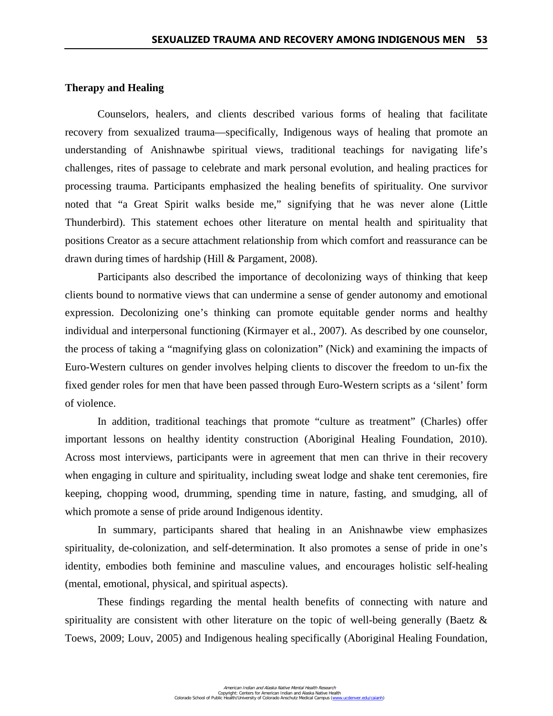### **Therapy and Healing**

Counselors, healers, and clients described various forms of healing that facilitate recovery from sexualized trauma—specifically, Indigenous ways of healing that promote an understanding of Anishnawbe spiritual views, traditional teachings for navigating life's challenges, rites of passage to celebrate and mark personal evolution, and healing practices for processing trauma. Participants emphasized the healing benefits of spirituality. One survivor noted that "a Great Spirit walks beside me," signifying that he was never alone (Little Thunderbird). This statement echoes other literature on mental health and spirituality that positions Creator as a secure attachment relationship from which comfort and reassurance can be drawn during times of hardship (Hill & Pargament, 2008).

Participants also described the importance of decolonizing ways of thinking that keep clients bound to normative views that can undermine a sense of gender autonomy and emotional expression. Decolonizing one's thinking can promote equitable gender norms and healthy individual and interpersonal functioning (Kirmayer et al., 2007). As described by one counselor, the process of taking a "magnifying glass on colonization" (Nick) and examining the impacts of Euro-Western cultures on gender involves helping clients to discover the freedom to un-fix the fixed gender roles for men that have been passed through Euro-Western scripts as a 'silent' form of violence.

In addition, traditional teachings that promote "culture as treatment" (Charles) offer important lessons on healthy identity construction (Aboriginal Healing Foundation, 2010). Across most interviews, participants were in agreement that men can thrive in their recovery when engaging in culture and spirituality, including sweat lodge and shake tent ceremonies, fire keeping, chopping wood, drumming, spending time in nature, fasting, and smudging, all of which promote a sense of pride around Indigenous identity.

In summary, participants shared that healing in an Anishnawbe view emphasizes spirituality, de-colonization, and self-determination. It also promotes a sense of pride in one's identity, embodies both feminine and masculine values, and encourages holistic self-healing (mental, emotional, physical, and spiritual aspects).

These findings regarding the mental health benefits of connecting with nature and spirituality are consistent with other literature on the topic of well-being generally (Baetz  $\&$ Toews, 2009; Louv, 2005) and Indigenous healing specifically (Aboriginal Healing Foundation,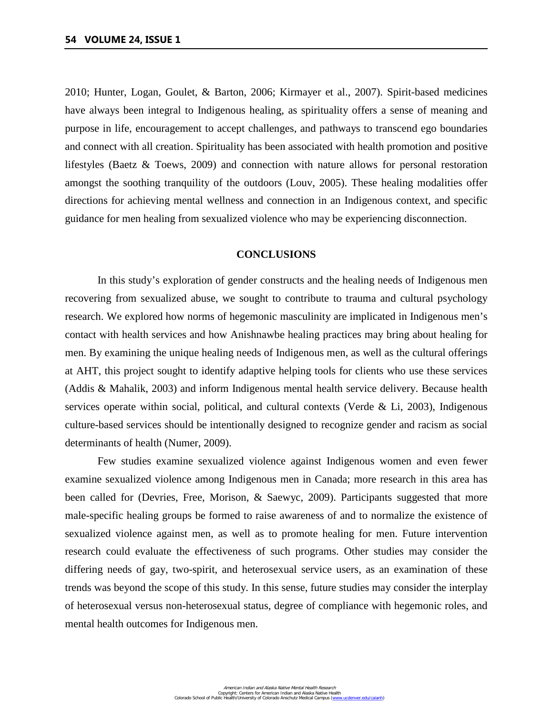2010; Hunter, Logan, Goulet, & Barton, 2006; Kirmayer et al., 2007). Spirit-based medicines have always been integral to Indigenous healing, as spirituality offers a sense of meaning and purpose in life, encouragement to accept challenges, and pathways to transcend ego boundaries and connect with all creation. Spirituality has been associated with health promotion and positive lifestyles (Baetz & Toews, 2009) and connection with nature allows for personal restoration amongst the soothing tranquility of the outdoors (Louv, 2005). These healing modalities offer directions for achieving mental wellness and connection in an Indigenous context, and specific guidance for men healing from sexualized violence who may be experiencing disconnection.

## **CONCLUSIONS**

In this study's exploration of gender constructs and the healing needs of Indigenous men recovering from sexualized abuse, we sought to contribute to trauma and cultural psychology research. We explored how norms of hegemonic masculinity are implicated in Indigenous men's contact with health services and how Anishnawbe healing practices may bring about healing for men. By examining the unique healing needs of Indigenous men, as well as the cultural offerings at AHT, this project sought to identify adaptive helping tools for clients who use these services (Addis & Mahalik, 2003) and inform Indigenous mental health service delivery. Because health services operate within social, political, and cultural contexts (Verde & Li, 2003), Indigenous culture-based services should be intentionally designed to recognize gender and racism as social determinants of health (Numer, 2009).

Few studies examine sexualized violence against Indigenous women and even fewer examine sexualized violence among Indigenous men in Canada; more research in this area has been called for (Devries, Free, Morison, & Saewyc, 2009). Participants suggested that more male-specific healing groups be formed to raise awareness of and to normalize the existence of sexualized violence against men, as well as to promote healing for men. Future intervention research could evaluate the effectiveness of such programs. Other studies may consider the differing needs of gay, two-spirit, and heterosexual service users, as an examination of these trends was beyond the scope of this study. In this sense, future studies may consider the interplay of heterosexual versus non-heterosexual status, degree of compliance with hegemonic roles, and mental health outcomes for Indigenous men.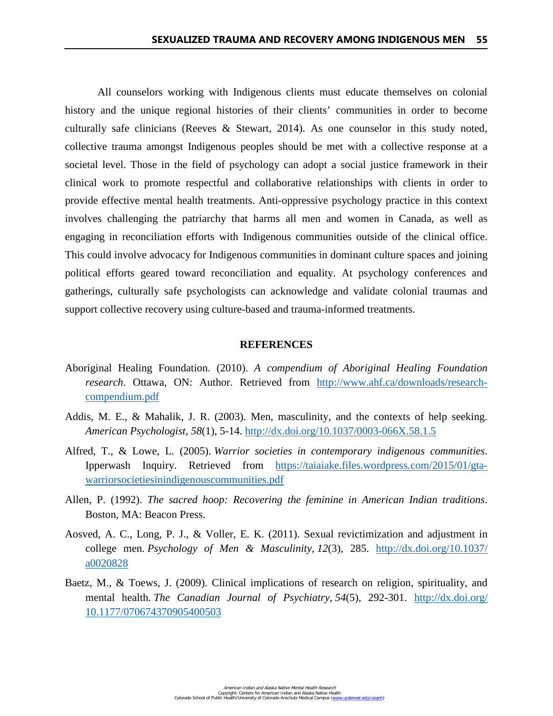All counselors working with Indigenous clients must educate themselves on colonial history and the unique regional histories of their clients' communities in order to become culturally safe clinicians (Reeves & Stewart, 2014). As one counselor in this study noted, collective trauma amongst Indigenous peoples should be met with a collective response at a societal level. Those in the field of psychology can adopt a social justice framework in their clinical work to promote respectful and collaborative relationships with clients in order to provide effective mental health treatments. Anti-oppressive psychology practice in this context involves challenging the patriarchy that harms all men and women in Canada, as well as engaging in reconciliation efforts with Indigenous communities outside of the clinical office. This could involve advocacy for Indigenous communities in dominant culture spaces and joining political efforts geared toward reconciliation and equality. At psychology conferences and gatherings, culturally safe psychologists can acknowledge and validate colonial traumas and support collective recovery using culture-based and trauma-informed treatments.

## **REFERENCES**

- Aboriginal Healing Foundation. (2010). *A compendium of Aboriginal Healing Foundation research*. Ottawa, ON: Author. Retrieved from [http://www.ahf.ca/downloads/research](http://www.ahf.ca/downloads/research-compendium.pdf)[compendium.pdf](http://www.ahf.ca/downloads/research-compendium.pdf)
- Addis, M. E., & Mahalik, J. R. (2003). Men, masculinity, and the contexts of help seeking. *American Psychologist, 58*(1), 5-14.<http://dx.doi.org/10.1037/0003-066X.58.1.5>
- Alfred, T., & Lowe, L. (2005). *Warrior societies in contemporary indigenous communities*. Ipperwash Inquiry. Retrieved from [https://taiaiake.files.wordpress.com/2015/01/gta](https://taiaiake.files.wordpress.com/2015/01/gta-warriorsocietiesinindigenouscommunities.pdf)[warriorsocietiesinindigenouscommunities.pdf](https://taiaiake.files.wordpress.com/2015/01/gta-warriorsocietiesinindigenouscommunities.pdf)
- Allen, P. (1992). *The sacred hoop: Recovering the feminine in American Indian traditions*. Boston, MA: Beacon Press.
- Aosved, A. C., Long, P. J., & Voller, E. K. (2011). Sexual revictimization and adjustment in college men. *Psychology of Men & Masculinity*, *12*(3), 285. [http://dx.doi.org/10.1037/](http://dx.doi.org/10.1037/a0020828)  [a0020828](http://dx.doi.org/10.1037/a0020828)
- Baetz, M., & Toews, J. (2009). Clinical implications of research on religion, spirituality, and mental health. *The Canadian Journal of Psychiatry*, *54*(5), 292-301. [http://dx.doi.org/](http://dx.doi.org/10.1177/070674370905400503)  [10.1177/070674370905400503](http://dx.doi.org/10.1177/070674370905400503)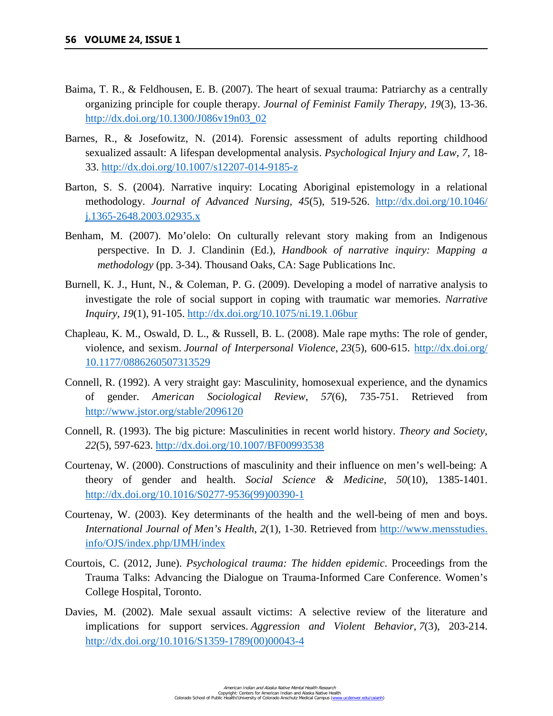- Baima, T. R., & Feldhousen, E. B. (2007). The heart of sexual trauma: Patriarchy as a centrally organizing principle for couple therapy. *Journal of Feminist Family Therapy, 19*(3), 13-36. [http://dx.doi.org/10.1300/J086v19n03\\_02](http://dx.doi.org/10.1300/J086v19n03_02)
- Barnes, R., & Josefowitz, N. (2014). Forensic assessment of adults reporting childhood sexualized assault: A lifespan developmental analysis. *Psychological Injury and Law, 7*, 18- 33.<http://dx.doi.org/10.1007/s12207-014-9185-z>
- Barton, S. S. (2004). Narrative inquiry: Locating Aboriginal epistemology in a relational methodology. *Journal of Advanced Nursing, 45*(5), 519-526. [http://dx.doi.org/10.1046/](http://dx.doi.org/10.1046/j.1365-2648.2003.02935.x)  [j.1365-2648.2003.02935.x](http://dx.doi.org/10.1046/j.1365-2648.2003.02935.x)
- Benham, M. (2007). Mo'olelo: On culturally relevant story making from an Indigenous perspective. In D. J. Clandinin (Ed.), *Handbook of narrative inquiry: Mapping a methodology* (pp. 3-34). Thousand Oaks, CA: Sage Publications Inc.
- Burnell, K. J., Hunt, N., & Coleman, P. G. (2009). Developing a model of narrative analysis to investigate the role of social support in coping with traumatic war memories. *Narrative Inquiry, 19*(1), 91-105.<http://dx.doi.org/10.1075/ni.19.1.06bur>
- Chapleau, K. M., Oswald, D. L., & Russell, B. L. (2008). Male rape myths: The role of gender, violence, and sexism. *Journal of Interpersonal Violence*, *23*(5), 600-615. [http://dx.doi.org/](http://dx.doi.org/10.1177/0886260507313529)  [10.1177/0886260507313529](http://dx.doi.org/10.1177/0886260507313529)
- Connell, R. (1992). A very straight gay: Masculinity, homosexual experience, and the dynamics of gender. *American Sociological Review, 57*(6), 735-751. Retrieved from <http://www.jstor.org/stable/2096120>
- Connell, R. (1993). The big picture: Masculinities in recent world history. *Theory and Society, 22*(5), 597-623.<http://dx.doi.org/10.1007/BF00993538>
- Courtenay, W. (2000). Constructions of masculinity and their influence on men's well-being: A theory of gender and health. *Social Science & Medicine, 50*(10), 1385-1401. [http://dx.doi.org/10.1016/S0277-9536\(99\)00390-1](http://dx.doi.org/10.1016/S0277-9536(99)00390-1)
- Courtenay, W. (2003). Key determinants of the health and the well-being of men and boys. *International Journal of Men's Health, 2*(1), 1-30. Retrieved from [http://www.mensstudies.](http://www.mensstudies.info/OJS/index.php/IJMH/index) [info/OJS/index.php/IJMH/index](http://www.mensstudies.info/OJS/index.php/IJMH/index)
- Courtois, C. (2012, June). *Psychological trauma: The hidden epidemic*. Proceedings from the Trauma Talks: Advancing the Dialogue on Trauma-Informed Care Conference. Women's College Hospital, Toronto.
- Davies, M. (2002). Male sexual assault victims: A selective review of the literature and implications for support services. *Aggression and Violent Behavior*, *7*(3), 203-214. [http://dx.doi.org/10.1016/S1359-1789\(00\)00043-4](http://dx.doi.org/10.1016/S1359-1789(00)00043-4)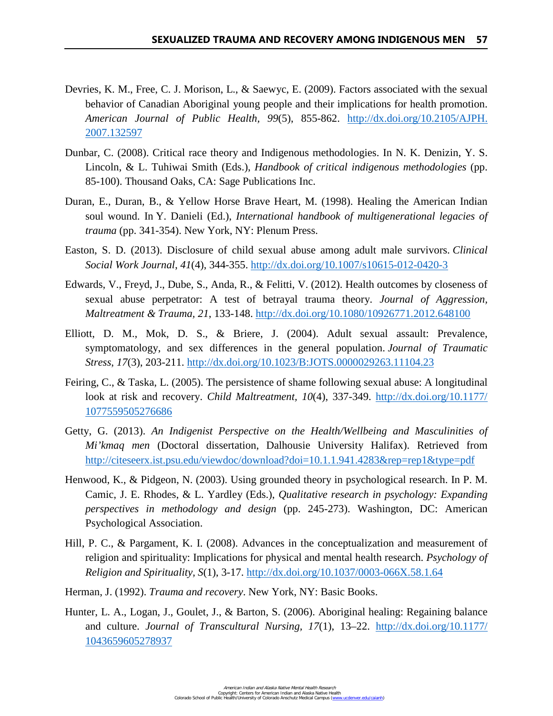- Devries, K. M., Free, C. J. Morison, L., & Saewyc, E. (2009). Factors associated with the sexual behavior of Canadian Aboriginal young people and their implications for health promotion. *American Journal of Public Health, 99*(5), 855-862. [http://dx.doi.org/10.2105/AJPH.](http://dx.doi.org/10.2105/AJPH.2007.132597)  [2007.132597](http://dx.doi.org/10.2105/AJPH.2007.132597)
- Dunbar, C. (2008). Critical race theory and Indigenous methodologies. In N. K. Denizin, Y. S. Lincoln, & L. Tuhiwai Smith (Eds.), *Handbook of critical indigenous methodologies* (pp. 85-100). Thousand Oaks, CA: Sage Publications Inc.
- Duran, E., Duran, B., & Yellow Horse Brave Heart, M. (1998). Healing the American Indian soul wound. In Y. Danieli (Ed.), *International handbook of multigenerational legacies of trauma* (pp. 341-354). New York, NY: Plenum Press.
- Easton, S. D. (2013). Disclosure of child sexual abuse among adult male survivors. *Clinical Social Work Journal*, *41*(4), 344-355.<http://dx.doi.org/10.1007/s10615-012-0420-3>
- Edwards, V., Freyd, J., Dube, S., Anda, R., & Felitti, V. (2012). Health outcomes by closeness of sexual abuse perpetrator: A test of betrayal trauma theory. *Journal of Aggression, Maltreatment & Trauma, 21*, 133-148.<http://dx.doi.org/10.1080/10926771.2012.648100>
- Elliott, D. M., Mok, D. S., & Briere, J. (2004). Adult sexual assault: Prevalence, symptomatology, and sex differences in the general population. *Journal of Traumatic Stress*, *17*(3), 203-211.<http://dx.doi.org/10.1023/B:JOTS.0000029263.11104.23>
- Feiring, C., & Taska, L. (2005). The persistence of shame following sexual abuse: A longitudinal look at risk and recovery. *Child Maltreatment, 10*(4), 337-349. [http://dx.doi.org/10.1177/](http://dx.doi.org/10.1177/1077559505276686)  [1077559505276686](http://dx.doi.org/10.1177/1077559505276686)
- Getty, G. (2013). *An Indigenist Perspective on the Health/Wellbeing and Masculinities of Mi'kmaq men* (Doctoral dissertation, Dalhousie University Halifax). Retrieved from <http://citeseerx.ist.psu.edu/viewdoc/download?doi=10.1.1.941.4283&rep=rep1&type=pdf>
- Henwood, K., & Pidgeon, N. (2003). Using grounded theory in psychological research. In P. M. Camic, J. E. Rhodes, & L. Yardley (Eds.), *Qualitative research in psychology: Expanding perspectives in methodology and design* (pp. 245-273). Washington, DC: American Psychological Association.
- Hill, P. C., & Pargament, K. I. (2008). Advances in the conceptualization and measurement of religion and spirituality: Implications for physical and mental health research. *Psychology of Religion and Spirituality, S*(1), 3-17.<http://dx.doi.org/10.1037/0003-066X.58.1.64>
- Herman, J. (1992). *Trauma and recovery*. New York, NY: Basic Books.
- Hunter, L. A., Logan, J., Goulet, J., & Barton, S. (2006). Aboriginal healing: Regaining balance and culture. *Journal of Transcultural Nursing, 17*(1), 13–22. [http://dx.doi.org/10.1177/](http://dx.doi.org/10.1177/1043659605278937)  [1043659605278937](http://dx.doi.org/10.1177/1043659605278937)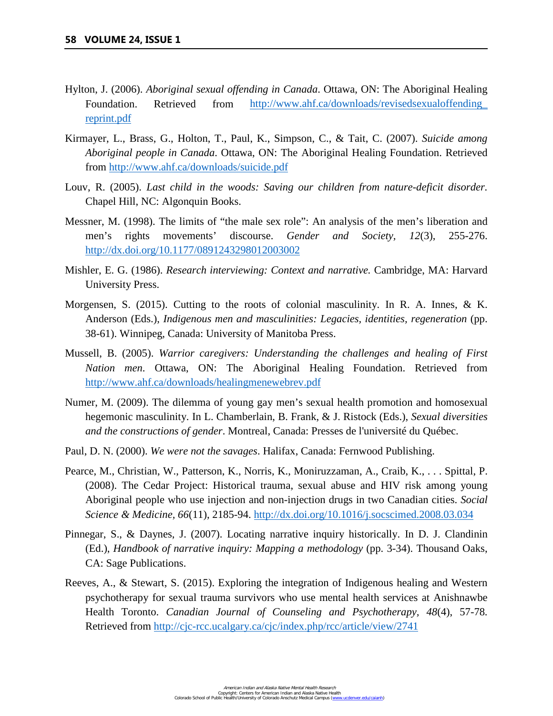- Hylton, J. (2006). *Aboriginal sexual offending in Canada*. Ottawa, ON: The Aboriginal Healing Foundation. Retrieved from [http://www.ahf.ca/downloads/revisedsexualoffending\\_](http://www.ahf.ca/downloads/revisedsexualoffending_reprint.pdf)  [reprint.pdf](http://www.ahf.ca/downloads/revisedsexualoffending_reprint.pdf)
- Kirmayer, L., Brass, G., Holton, T., Paul, K., Simpson, C., & Tait, C. (2007). *Suicide among Aboriginal people in Canada*. Ottawa, ON: The Aboriginal Healing Foundation. Retrieved from<http://www.ahf.ca/downloads/suicide.pdf>
- Louv, R. (2005). *Last child in the woods: Saving our children from nature-deficit disorder.* Chapel Hill, NC: Algonquin Books.
- Messner, M. (1998). The limits of "the male sex role": An analysis of the men's liberation and men's rights movements' discourse. *Gender and Society, 12*(3), 255-276. <http://dx.doi.org/10.1177/0891243298012003002>
- Mishler, E. G. (1986). *Research interviewing: Context and narrative.* Cambridge, MA: Harvard University Press.
- Morgensen, S. (2015). Cutting to the roots of colonial masculinity. In R. A. Innes, & K. Anderson (Eds.), *Indigenous men and masculinities: Legacies, identities, regeneration* (pp. 38-61). Winnipeg, Canada: University of Manitoba Press.
- Mussell, B. (2005). *Warrior caregivers: Understanding the challenges and healing of First Nation men*. Ottawa, ON: The Aboriginal Healing Foundation. Retrieved from <http://www.ahf.ca/downloads/healingmenewebrev.pdf>
- Numer, M. (2009). The dilemma of young gay men's sexual health promotion and homosexual hegemonic masculinity. In L. Chamberlain, B. Frank, & J. Ristock (Eds.), *Sexual diversities and the constructions of gender*. Montreal, Canada: Presses de l'université du Québec.
- Paul, D. N. (2000). *We were not the savages*. Halifax, Canada: Fernwood Publishing.
- Pearce, M., Christian, W., Patterson, K., Norris, K., Moniruzzaman, A., Craib, K., . . . Spittal, P. (2008). The Cedar Project: Historical trauma, sexual abuse and HIV risk among young Aboriginal people who use injection and non-injection drugs in two Canadian cities. *Social Science & Medicine, 66*(11), 2185-94.<http://dx.doi.org/10.1016/j.socscimed.2008.03.034>
- Pinnegar, S., & Daynes, J. (2007). Locating narrative inquiry historically. In D. J. Clandinin (Ed.), *Handbook of narrative inquiry: Mapping a methodology* (pp. 3-34). Thousand Oaks, CA: Sage Publications.
- Reeves, A., & Stewart, S. (2015). Exploring the integration of Indigenous healing and Western psychotherapy for sexual trauma survivors who use mental health services at Anishnawbe Health Toronto. *Canadian Journal of Counseling and Psychotherapy, 48*(4), 57-78*.*  Retrieved from<http://cjc-rcc.ucalgary.ca/cjc/index.php/rcc/article/view/2741>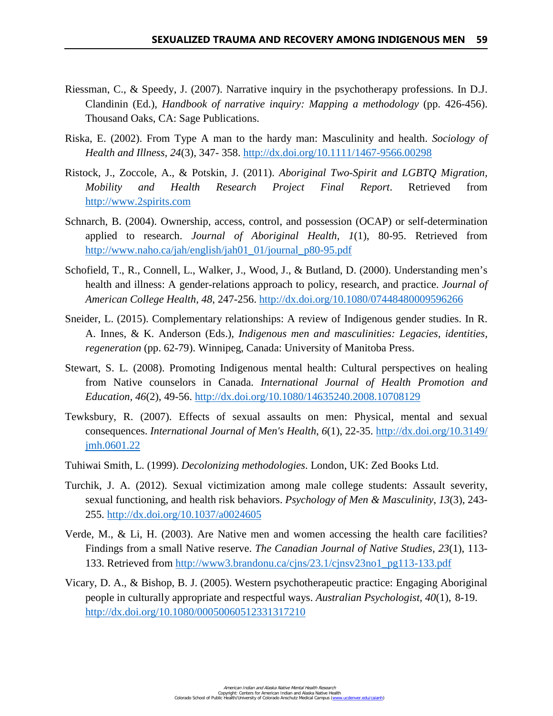- Riessman, C., & Speedy, J. (2007). Narrative inquiry in the psychotherapy professions. In D.J. Clandinin (Ed.), *Handbook of narrative inquiry: Mapping a methodology* (pp. 426-456). Thousand Oaks, CA: Sage Publications.
- Riska, E. (2002). From Type A man to the hardy man: Masculinity and health. *Sociology of Health and Illness, 24*(3), 347- 358.<http://dx.doi.org/10.1111/1467-9566.00298>
- Ristock, J., Zoccole, A., & Potskin, J. (2011). *Aboriginal Two-Spirit and LGBTQ Migration, Mobility and Health Research Project Final Report*. Retrieved from [http://www.2spirits.com](http://www.2spirits.com/)
- Schnarch, B. (2004). Ownership, access, control, and possession (OCAP) or self-determination applied to research. *Journal of Aboriginal Health, 1*(1), 80-95. Retrieved from [http://www.naho.ca/jah/english/jah01\\_01/journal\\_p80-95.pdf](http://www.naho.ca/jah/english/jah01_01/journal_p80-95.pdf)
- Schofield, T., R., Connell, L., Walker, J., Wood, J., & Butland, D. (2000). Understanding men's health and illness: A gender-relations approach to policy, research, and practice. *Journal of American College Health, 48*, 247-256.<http://dx.doi.org/10.1080/07448480009596266>
- Sneider, L. (2015). Complementary relationships: A review of Indigenous gender studies. In R. A. Innes, & K. Anderson (Eds.), *Indigenous men and masculinities: Legacies, identities, regeneration* (pp. 62-79). Winnipeg, Canada: University of Manitoba Press.
- Stewart, S. L. (2008). Promoting Indigenous mental health: Cultural perspectives on healing from Native counselors in Canada. *International Journal of Health Promotion and Education, 46*(2), 49-56.<http://dx.doi.org/10.1080/14635240.2008.10708129>
- Tewksbury, R. (2007). Effects of sexual assaults on men: Physical, mental and sexual consequences. *International Journal of Men's Health*, *6*(1), 22-35. [http://dx.doi.org/10.3149/](http://dx.doi.org/10.3149/jmh.0601.22)  [jmh.0601.22](http://dx.doi.org/10.3149/jmh.0601.22)
- Tuhiwai Smith, L. (1999). *Decolonizing methodologies*. London, UK: Zed Books Ltd.
- Turchik, J. A. (2012). Sexual victimization among male college students: Assault severity, sexual functioning, and health risk behaviors. *Psychology of Men & Masculinity*, *13*(3), 243- 255.<http://dx.doi.org/10.1037/a0024605>
- Verde, M., & Li, H. (2003). Are Native men and women accessing the health care facilities? Findings from a small Native reserve. *The Canadian Journal of Native Studies, 23*(1), 113- 133. Retrieved from [http://www3.brandonu.ca/cjns/23.1/cjnsv23no1\\_pg113-133.pdf](http://www3.brandonu.ca/cjns/23.1/cjnsv23no1_pg113-133.pdf)
- Vicary, D. A., & Bishop, B. J. (2005). Western psychotherapeutic practice: Engaging Aboriginal people in culturally appropriate and respectful ways. *Australian Psychologist, 40*(1), 8-19. <http://dx.doi.org/10.1080/00050060512331317210>